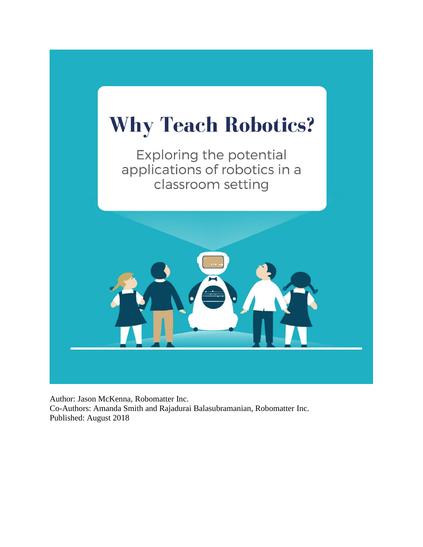

Author: Jason McKenna, Robomatter Inc. Co-Authors: Amanda Smith and Rajadurai Balasubramanian, Robomatter Inc. Published: August 2018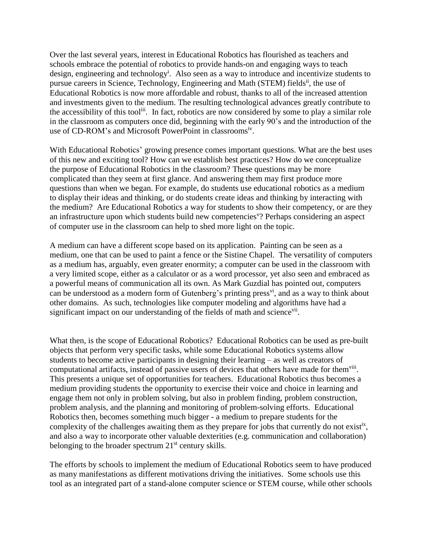Over the last several years, interest in Educational Robotics has flourished as teachers and schools embrace the potential of robotics to provide hands-on and engaging ways to teach design, engineering and technology<sup>i</sup>. Also seen as a way to introduce and incentivize students to pursue careers in Science, Technology, Engineering and Math (STEM) fields<sup>ii</sup>, the use of Educational Robotics is now more affordable and robust, thanks to all of the increased attention and investments given to the medium. The resulting technological advances greatly contribute to the accessibility of this tool<sup>iii</sup>. In fact, robotics are now considered by some to play a similar role in the classroom as computers once did, beginning with the early 90's and the introduction of the use of CD-ROM's and Microsoft PowerPoint in classroomsiv.

With Educational Robotics' growing presence comes important questions. What are the best uses of this new and exciting tool? How can we establish best practices? How do we conceptualize the purpose of Educational Robotics in the classroom? These questions may be more complicated than they seem at first glance. And answering them may first produce more questions than when we began. For example, do students use educational robotics as a medium to display their ideas and thinking, or do students create ideas and thinking by interacting with the medium? Are Educational Robotics a way for students to show their competency, or are they an infrastructure upon which students build new competencies<sup>v</sup>? Perhaps considering an aspect of computer use in the classroom can help to shed more light on the topic.

A medium can have a different scope based on its application. Painting can be seen as a medium, one that can be used to paint a fence or the Sistine Chapel. The versatility of computers as a medium has, arguably, even greater enormity; a computer can be used in the classroom with a very limited scope, either as a calculator or as a word processor, yet also seen and embraced as a powerful means of communication all its own. As Mark Guzdial has pointed out, computers can be understood as a modern form of Gutenberg's printing press<sup>vi</sup>, and as a way to think about other domains. As such, technologies like computer modeling and algorithms have had a significant impact on our understanding of the fields of math and science<sup>vii</sup>.

What then, is the scope of Educational Robotics? Educational Robotics can be used as pre-built objects that perform very specific tasks, while some Educational Robotics systems allow students to become active participants in designing their learning – as well as creators of computational artifacts, instead of passive users of devices that others have made for them<sup>viii</sup>. This presents a unique set of opportunities for teachers. Educational Robotics thus becomes a medium providing students the opportunity to exercise their voice and choice in learning and engage them not only in problem solving, but also in problem finding, problem construction, problem analysis, and the planning and monitoring of problem-solving efforts. Educational Robotics then, becomes something much bigger - a medium to prepare students for the complexity of the challenges awaiting them as they prepare for jobs that currently do not exist<sup>ix</sup>, and also a way to incorporate other valuable dexterities (e.g. communication and collaboration) belonging to the broader spectrum  $21<sup>st</sup>$  century skills.

The efforts by schools to implement the medium of Educational Robotics seem to have produced as many manifestations as different motivations driving the initiatives. Some schools use this tool as an integrated part of a stand-alone computer science or STEM course, while other schools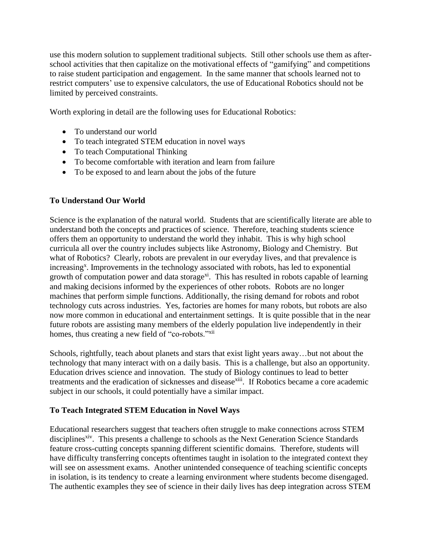use this modern solution to supplement traditional subjects. Still other schools use them as afterschool activities that then capitalize on the motivational effects of "gamifying" and competitions to raise student participation and engagement. In the same manner that schools learned not to restrict computers' use to expensive calculators, the use of Educational Robotics should not be limited by perceived constraints.

Worth exploring in detail are the following uses for Educational Robotics:

- To understand our world
- To teach integrated STEM education in novel ways
- To teach Computational Thinking
- To become comfortable with iteration and learn from failure
- To be exposed to and learn about the jobs of the future

## **To Understand Our World**

Science is the explanation of the natural world. Students that are scientifically literate are able to understand both the concepts and practices of science. Therefore, teaching students science offers them an opportunity to understand the world they inhabit. This is why high school curricula all over the country includes subjects like Astronomy, Biology and Chemistry. But what of Robotics? Clearly, robots are prevalent in our everyday lives, and that prevalence is increasing<sup>x</sup>. Improvements in the technology associated with robots, has led to exponential growth of computation power and data storage<sup>xi</sup>. This has resulted in robots capable of learning and making decisions informed by the experiences of other robots. Robots are no longer machines that perform simple functions. Additionally, the rising demand for robots and robot technology cuts across industries. Yes, factories are homes for many robots, but robots are also now more common in educational and entertainment settings. It is quite possible that in the near future robots are assisting many members of the elderly population live independently in their homes, thus creating a new field of "co-robots."<sup>xii</sup>

Schools, rightfully, teach about planets and stars that exist light years away…but not about the technology that many interact with on a daily basis. This is a challenge, but also an opportunity. Education drives science and innovation. The study of Biology continues to lead to better treatments and the eradication of sicknesses and disease<sup>xiii</sup>. If Robotics became a core academic subject in our schools, it could potentially have a similar impact.

#### **To Teach Integrated STEM Education in Novel Ways**

Educational researchers suggest that teachers often struggle to make connections across STEM disciplines<sup>xiv</sup>. This presents a challenge to schools as the Next Generation Science Standards feature cross-cutting concepts spanning different scientific domains. Therefore, students will have difficulty transferring concepts oftentimes taught in isolation to the integrated context they will see on assessment exams. Another unintended consequence of teaching scientific concepts in isolation, is its tendency to create a learning environment where students become disengaged. The authentic examples they see of science in their daily lives has deep integration across STEM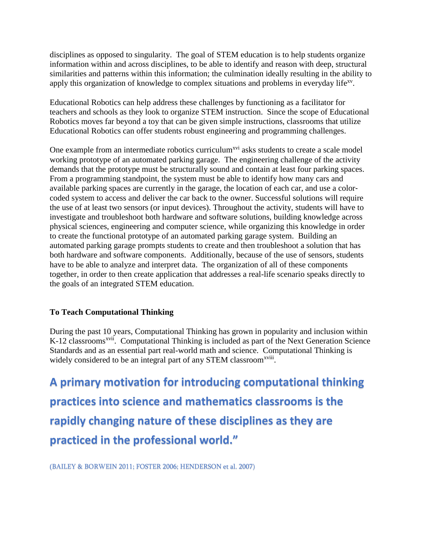disciplines as opposed to singularity. The goal of STEM education is to help students organize information within and across disciplines, to be able to identify and reason with deep, structural similarities and patterns within this information; the culmination ideally resulting in the ability to apply this organization of knowledge to complex situations and problems in everyday life<sup>xv</sup>.

Educational Robotics can help address these challenges by functioning as a facilitator for teachers and schools as they look to organize STEM instruction. Since the scope of Educational Robotics moves far beyond a toy that can be given simple instructions, classrooms that utilize Educational Robotics can offer students robust engineering and programming challenges.

One example from an intermediate robotics curriculum<sup>xvi</sup> asks students to create a scale model working prototype of an automated parking garage. The engineering challenge of the activity demands that the prototype must be structurally sound and contain at least four parking spaces. From a programming standpoint, the system must be able to identify how many cars and available parking spaces are currently in the garage, the location of each car, and use a color‐ coded system to access and deliver the car back to the owner. Successful solutions will require the use of at least two sensors (or input devices). Throughout the activity, students will have to investigate and troubleshoot both hardware and software solutions, building knowledge across physical sciences, engineering and computer science, while organizing this knowledge in order to create the functional prototype of an automated parking garage system. Building an automated parking garage prompts students to create and then troubleshoot a solution that has both hardware and software components. Additionally, because of the use of sensors, students have to be able to analyze and interpret data. The organization of all of these components together, in order to then create application that addresses a real-life scenario speaks directly to the goals of an integrated STEM education.

## **To Teach Computational Thinking**

During the past 10 years, Computational Thinking has grown in popularity and inclusion within K-12 classrooms<sup>xvii</sup>. Computational Thinking is included as part of the Next Generation Science Standards and as an essential part real-world math and science. Computational Thinking is widely considered to be an integral part of any STEM classroom<sup>xviii</sup>.

**A primary motivation for introducing computational thinking practices into science and mathematics classrooms is the rapidly changing nature of these disciplines as they are practiced in the professional world."**

(BAILEY & BORWEIN 2011; FOSTER 2006; HENDERSON et al. 2007)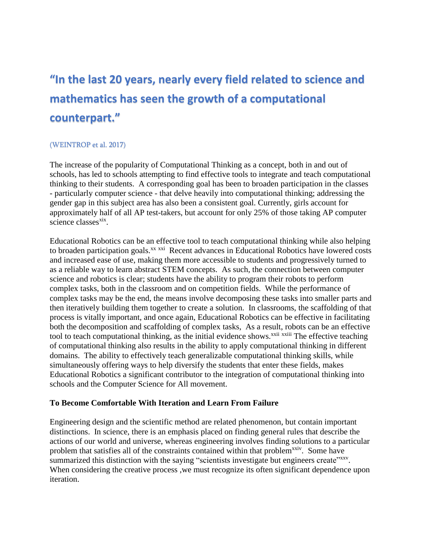# **"In the last 20 years, nearly every field related to science and mathematics has seen the growth of a computational counterpart."**

### (WEINTROP et al. 2017)

The increase of the popularity of Computational Thinking as a concept, both in and out of schools, has led to schools attempting to find effective tools to integrate and teach computational thinking to their students. A corresponding goal has been to broaden participation in the classes - particularly computer science - that delve heavily into computational thinking; addressing the gender gap in this subject area has also been a consistent goal. Currently, girls account for approximately half of all AP test-takers, but account for only 25% of those taking AP computer science classes<sup>xix</sup>.

Educational Robotics can be an effective tool to teach computational thinking while also helping to broaden participation goals.<sup>xx xxi</sup> Recent advances in Educational Robotics have lowered costs and increased ease of use, making them more accessible to students and progressively turned to as a reliable way to learn abstract STEM concepts. As such, the connection between computer science and robotics is clear; students have the ability to program their robots to perform complex tasks, both in the classroom and on competition fields. While the performance of complex tasks may be the end, the means involve decomposing these tasks into smaller parts and then iteratively building them together to create a solution. In classrooms, the scaffolding of that process is vitally important, and once again, Educational Robotics can be effective in facilitating both the decomposition and scaffolding of complex tasks, As a result, robots can be an effective tool to teach computational thinking, as the initial evidence shows.<sup>xxii xxiii</sup> The effective teaching of computational thinking also results in the ability to apply computational thinking in different domains. The ability to effectively teach generalizable computational thinking skills, while simultaneously offering ways to help diversify the students that enter these fields, makes Educational Robotics a significant contributor to the integration of computational thinking into schools and the Computer Science for All movement.

## **To Become Comfortable With Iteration and Learn From Failure**

Engineering design and the scientific method are related phenomenon, but contain important distinctions. In science, there is an emphasis placed on finding general rules that describe the actions of our world and universe, whereas engineering involves finding solutions to a particular problem that satisfies all of the constraints contained within that problem<sup>xxiv</sup>. Some have summarized this distinction with the saying "scientists investigate but engineers create"xxv. When considering the creative process, we must recognize its often significant dependence upon iteration.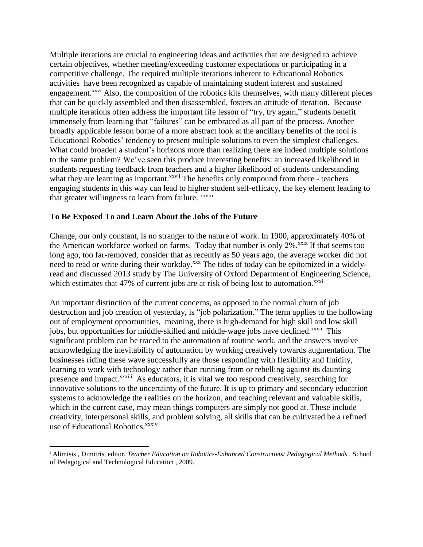Multiple iterations are crucial to engineering ideas and activities that are designed to achieve certain objectives, whether meeting/exceeding customer expectations or participating in a competitive challenge. The required multiple iterations inherent to Educational Robotics activities have been recognized as capable of maintaining student interest and sustained engagement.<sup>xxvi</sup> Also, the composition of the robotics kits themselves, with many different pieces that can be quickly assembled and then disassembled, fosters an attitude of iteration. Because multiple iterations often address the important life lesson of "try, try again," students benefit immensely from learning that "failures" can be embraced as all part of the process. Another broadly applicable lesson borne of a more abstract look at the ancillary benefits of the tool is Educational Robotics' tendency to present multiple solutions to even the simplest challenges. What could broaden a student's horizons more than realizing there are indeed multiple solutions to the same problem? We've seen this produce interesting benefits: an increased likelihood in students requesting feedback from teachers and a higher likelihood of students understanding what they are learning as important.<sup>xxvii</sup> The benefits only compound from there - teachers engaging students in this way can lead to higher student self-efficacy, the key element leading to that greater willingness to learn from failure. *xxviii* 

### **To Be Exposed To and Learn About the Jobs of the Future**

 $\overline{a}$ 

Change, our only constant, is no stranger to the nature of work. In 1900, approximately 40% of the American workforce worked on farms. Today that number is only  $2\%$ <sup>xxix</sup> If that seems too long ago, too far-removed, consider that as recently as 50 years ago, the average worker did not need to read or write during their workday.<sup>xxx</sup> The tides of today can be epitomized in a widelyread and discussed 2013 study by The University of Oxford Department of Engineering Science, which estimates that 47% of current jobs are at risk of being lost to automation.<sup>xxxi</sup>

An important distinction of the current concerns, as opposed to the normal churn of job destruction and job creation of yesterday, is "job polarization." The term applies to the hollowing out of employment opportunities, meaning, there is high-demand for high skill and low skill jobs, but opportunities for middle-skilled and middle-wage jobs have declined.<sup>xxxii</sup> This significant problem can be traced to the automation of routine work, and the answers involve acknowledging the inevitability of automation by working creatively towards augmentation. The businesses riding these wave successfully are those responding with flexibility and fluidity, learning to work with technology rather than running from or rebelling against its daunting presence and impact.<sup>xxxiii</sup> As educators, it is vital we too respond creatively, searching for innovative solutions to the uncertainty of the future. It is up to primary and secondary education systems to acknowledge the realities on the horizon, and teaching relevant and valuable skills, which in the current case, may mean things computers are simply not good at. These include creativity, interpersonal skills, and problem solving, all skills that can be cultivated be a refined use of Educational Robotics.<sup>xxxiv</sup>

<sup>i</sup> Alimisis , Dimitris, editor. *Teacher Education on Robotics-Enhanced Constructivist Pedagogical Methods* . School of Pedagogical and Technological Education , 2009.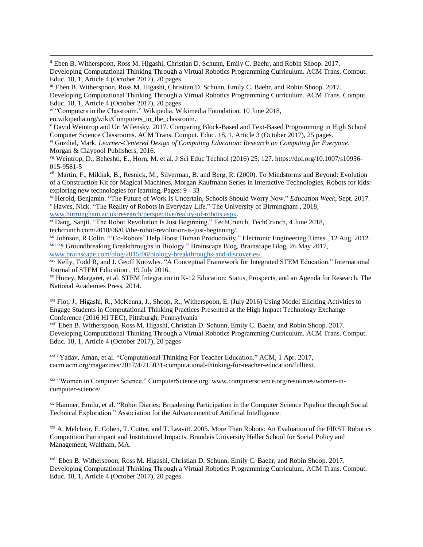ii Eben B. Witherspoon, Ross M. Higashi, Christian D. Schunn, Emily C. Baehr, and Robin Shoop. 2017. Developing Computational Thinking Through a Virtual Robotics Programming Curriculum. ACM Trans. Comput. Educ. 18, 1, Article 4 (October 2017), 20 pages

iii Eben B. Witherspoon, Ross M. Higashi, Christian D. Schunn, Emily C. Baehr, and Robin Shoop. 2017. Developing Computational Thinking Through a Virtual Robotics Programming Curriculum. ACM Trans. Comput. Educ. 18, 1, Article 4 (October 2017), 20 pages

iv "Computers in the Classroom." Wikipedia, Wikimedia Foundation, 10 June 2018, en.wikipedia.org/wiki/Computers\_in\_the\_classroom.

 $\overline{a}$ 

<sup>v</sup> David Weintrop and Uri Wilensky. 2017. Comparing Block-Based and Text-Based Programming in High School Computer Science Classrooms. ACM Trans. Comput. Educ. 18, 1, Article 3 (October 2017), 25 pages.

vi Guzdial, Mark. *Learner-Centered Design of Computing Education: Research on Computing for Everyone*. Morgan & Claypool Publishers, 2016.

vii Weintrop, D., Beheshti, E., Horn, M. et al. J Sci Educ Technol (2016) 25: 127. https://doi.org/10.1007/s10956- 015-9581-5

viii Martin, F., Mikhak, B., Resnick, M., Silverman, B. and Berg, R. (2000). To Mindstorms and Beyond: Evolution of a Construction Kit for Magical Machines, Morgan Kaufmann Series in Interactive Technologies, Robots for kids: exploring new technologies for learning, Pages: 9 - 33

ix Herold, Benjamin. "The Future of Work Is Uncertain, Schools Should Worry Now." *Education Week*, Sept. 2017. <sup>x</sup> Hawes, Nick. "The Reality of Robots in Everyday Life." The University of Birmingham , 2018, [www.birmingham.ac.uk/research/perspective/reality-of-robots.aspx.](http://www.birmingham.ac.uk/research/perspective/reality-of-robots.aspx)

xi Dang, Sanjit. "The Robot Revolution Is Just Beginning." TechCrunch, TechCrunch, 4 June 2018, techcrunch.com/2018/06/03/the-robot-revolution-is-just-beginning/.

xii Johnson, R Colin. "'Co-Robots' Help Boost Human Productivity." Electronic Engineering Times , 12 Aug. 2012. xiii "5 Groundbreaking Breakthroughs in Biology." Brainscape Blog, Brainscape Blog, 26 May 2017, [www.brainscape.com/blog/2015/06/biology-breakthroughs-and-discoveries/.](http://www.brainscape.com/blog/2015/06/biology-breakthroughs-and-discoveries/)

xiv Kelly, Todd R, and J. Geoff Knowles. "A Conceptual Framework for Integrated STEM Education." International Journal of STEM Education , 19 July 2016.

xv Honey, Margaret, et al. STEM Integration in K-12 Education: Status, Prospects, and an Agenda for Research. The National Academies Press, 2014.

xvi Flot, J., Higashi, R., McKenna, J., Shoop, R., Witherspoon, E. (July 2016) Using Model Eliciting Activities to Engage Students in Computational Thinking Practices Presented at the High Impact Technology Exchange Conference (2016 HI TEC), Pittsburgh, Pennsylvania

xvii Eben B. Witherspoon, Ross M. Higashi, Christian D. Schunn, Emily C. Baehr, and Robin Shoop. 2017. Developing Computational Thinking Through a Virtual Robotics Programming Curriculum. ACM Trans. Comput. Educ. 18, 1, Article 4 (October 2017), 20 pages

xviii Yadav, Aman, et al. "Computational Thinking For Teacher Education." ACM, 1 Apr. 2017, cacm.acm.org/magazines/2017/4/215031-computational-thinking-for-teacher-education/fulltext.

xix "Women in Computer Science." ComputerScience.org, www.computerscience.org/resources/women-incomputer-science/.

xx Hamner, Emilu, et al. "Robot Diaries: Broadening Participation in the Computer Science Pipeline through Social Technical Exploration." Association for the Advancement of Artificial Intelligence.

xxi A. Melchior, F. Cohen, T. Cutter, and T. Leavitt. 2005. More Than Robots: An Evaluation of the FIRST Robotics Competition Participant and Institutional Impacts. Brandeis University Heller School for Social Policy and Management, Waltham, MA.

xxii Eben B. Witherspoon, Ross M. Higashi, Christian D. Schunn, Emily C. Baehr, and Robin Shoop. 2017. Developing Computational Thinking Through a Virtual Robotics Programming Curriculum. ACM Trans. Comput. Educ. 18, 1, Article 4 (October 2017), 20 pages